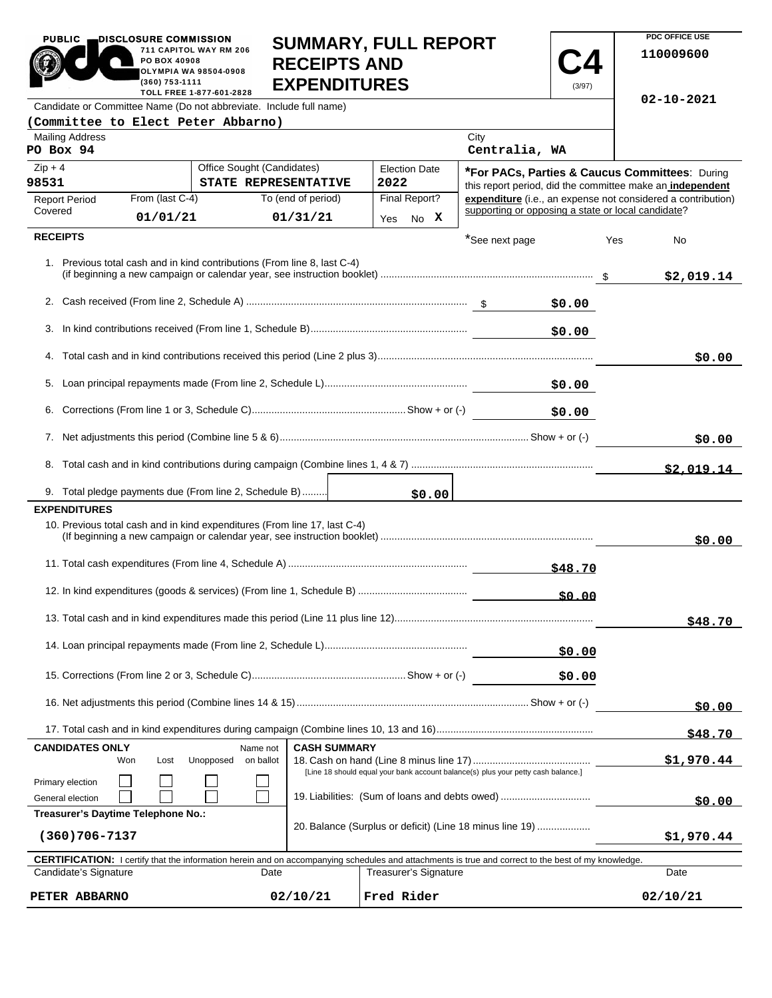| <b>PUBLIC</b>                                                                                                                                                                       | DISCLOSURE COMMISSION<br>PO BOX 40908<br>(360) 753-1111 | 711 CAPITOL WAY RM 206<br><b>OLYMPIA WA 98504-0908</b><br>TOLL FREE 1-877-601-2828 | <b>SUMMARY, FULL REPORT</b><br><b>RECEIPTS AND</b><br><b>EXPENDITURES</b><br>(3/97) |                                                          |        |                                                                                   |         |     | <b>PDC OFFICE USE</b><br>110009600<br>$02 - 10 - 2021$       |
|-------------------------------------------------------------------------------------------------------------------------------------------------------------------------------------|---------------------------------------------------------|------------------------------------------------------------------------------------|-------------------------------------------------------------------------------------|----------------------------------------------------------|--------|-----------------------------------------------------------------------------------|---------|-----|--------------------------------------------------------------|
| Candidate or Committee Name (Do not abbreviate. Include full name)                                                                                                                  |                                                         |                                                                                    |                                                                                     |                                                          |        |                                                                                   |         |     |                                                              |
| (Committee to Elect Peter Abbarno)                                                                                                                                                  |                                                         |                                                                                    |                                                                                     |                                                          |        |                                                                                   |         |     |                                                              |
| <b>Mailing Address</b><br>PO Box 94                                                                                                                                                 |                                                         |                                                                                    |                                                                                     |                                                          |        | City<br>Centralia, WA                                                             |         |     |                                                              |
| $Zip + 4$                                                                                                                                                                           |                                                         | Office Sought (Candidates)                                                         |                                                                                     | <b>Election Date</b>                                     |        |                                                                                   |         |     | *For PACs, Parties & Caucus Committees: During               |
| 98531                                                                                                                                                                               |                                                         |                                                                                    | STATE REPRESENTATIVE                                                                | 2022                                                     |        |                                                                                   |         |     | this report period, did the committee make an independent    |
| <b>Report Period</b><br>Covered                                                                                                                                                     | From (last C-4)                                         |                                                                                    | To (end of period)                                                                  | Final Report?                                            |        | supporting or opposing a state or local candidate?                                |         |     | expenditure (i.e., an expense not considered a contribution) |
|                                                                                                                                                                                     | 01/01/21                                                |                                                                                    | 01/31/21                                                                            | Yes No X                                                 |        |                                                                                   |         |     |                                                              |
| <b>RECEIPTS</b>                                                                                                                                                                     |                                                         |                                                                                    | 1. Previous total cash and in kind contributions (From line 8, last C-4)            |                                                          |        | *See next page                                                                    |         | Yes | No<br>\$2,019.14                                             |
|                                                                                                                                                                                     |                                                         |                                                                                    |                                                                                     |                                                          |        |                                                                                   | \$0.00  |     |                                                              |
|                                                                                                                                                                                     |                                                         |                                                                                    |                                                                                     |                                                          |        |                                                                                   | \$0.00  |     |                                                              |
|                                                                                                                                                                                     |                                                         |                                                                                    |                                                                                     |                                                          |        |                                                                                   |         |     | \$0.00                                                       |
|                                                                                                                                                                                     |                                                         |                                                                                    |                                                                                     |                                                          |        |                                                                                   | \$0.00  |     |                                                              |
|                                                                                                                                                                                     |                                                         |                                                                                    |                                                                                     |                                                          |        |                                                                                   | \$0.00  |     |                                                              |
|                                                                                                                                                                                     |                                                         |                                                                                    |                                                                                     |                                                          |        |                                                                                   |         |     | \$0.00                                                       |
|                                                                                                                                                                                     |                                                         |                                                                                    |                                                                                     |                                                          |        |                                                                                   |         |     | \$2.019.14                                                   |
| 9. Total pledge payments due (From line 2, Schedule B)                                                                                                                              |                                                         |                                                                                    |                                                                                     |                                                          | \$0.00 |                                                                                   |         |     |                                                              |
| <b>EXPENDITURES</b>                                                                                                                                                                 |                                                         |                                                                                    |                                                                                     |                                                          |        |                                                                                   |         |     |                                                              |
|                                                                                                                                                                                     |                                                         |                                                                                    | 10. Previous total cash and in kind expenditures (From line 17, last C-4)           |                                                          |        |                                                                                   |         |     | \$0.00                                                       |
|                                                                                                                                                                                     |                                                         |                                                                                    |                                                                                     |                                                          |        |                                                                                   | \$48.70 |     |                                                              |
|                                                                                                                                                                                     |                                                         |                                                                                    |                                                                                     |                                                          |        |                                                                                   | 50.00   |     |                                                              |
|                                                                                                                                                                                     |                                                         |                                                                                    |                                                                                     |                                                          |        |                                                                                   |         |     | \$48.70                                                      |
| \$0.00                                                                                                                                                                              |                                                         |                                                                                    |                                                                                     |                                                          |        |                                                                                   |         |     |                                                              |
|                                                                                                                                                                                     |                                                         |                                                                                    |                                                                                     |                                                          |        |                                                                                   | \$0.00  |     |                                                              |
|                                                                                                                                                                                     |                                                         |                                                                                    |                                                                                     |                                                          |        | \$0.00                                                                            |         |     |                                                              |
|                                                                                                                                                                                     |                                                         |                                                                                    |                                                                                     |                                                          |        |                                                                                   |         |     | \$48.70                                                      |
| <b>CANDIDATES ONLY</b><br><b>CASH SUMMARY</b><br>Name not<br>Won<br>Lost<br>Unopposed<br>on ballot                                                                                  |                                                         |                                                                                    |                                                                                     |                                                          |        | \$1,970.44                                                                        |         |     |                                                              |
| Primary election                                                                                                                                                                    |                                                         |                                                                                    |                                                                                     |                                                          |        | [Line 18 should equal your bank account balance(s) plus your petty cash balance.] |         |     |                                                              |
| General election                                                                                                                                                                    |                                                         |                                                                                    |                                                                                     |                                                          |        | 19. Liabilities: (Sum of loans and debts owed)                                    |         |     | \$0.00                                                       |
| Treasurer's Daytime Telephone No.:                                                                                                                                                  |                                                         |                                                                                    |                                                                                     | 20. Balance (Surplus or deficit) (Line 18 minus line 19) |        |                                                                                   |         |     |                                                              |
| $(360)706 - 7137$                                                                                                                                                                   |                                                         |                                                                                    |                                                                                     |                                                          |        |                                                                                   |         |     | \$1,970.44                                                   |
| <b>CERTIFICATION:</b> I certify that the information herein and on accompanying schedules and attachments is true and correct to the best of my knowledge.<br>Candidate's Signature |                                                         |                                                                                    | Date                                                                                | Treasurer's Signature                                    |        |                                                                                   |         |     | Date                                                         |

**SUMMARY, FULL REPORT** 

**PDC OFFICE USE** 

PUBLIC DISCLOSURE COMMISSION<br>711 CAPITOL WAY RM

| <b>CERTIFICATION:</b> I certify that the information herein and on accompanying schedules and attachments is true and correct to the best of my knowledge. |          |                       |          |  |  |  |
|------------------------------------------------------------------------------------------------------------------------------------------------------------|----------|-----------------------|----------|--|--|--|
| Candidate's Signature<br>Date                                                                                                                              |          | Treasurer's Signature | Date     |  |  |  |
| PETER ABBARNO                                                                                                                                              | 02/10/21 | Fred Rider            | 02/10/21 |  |  |  |